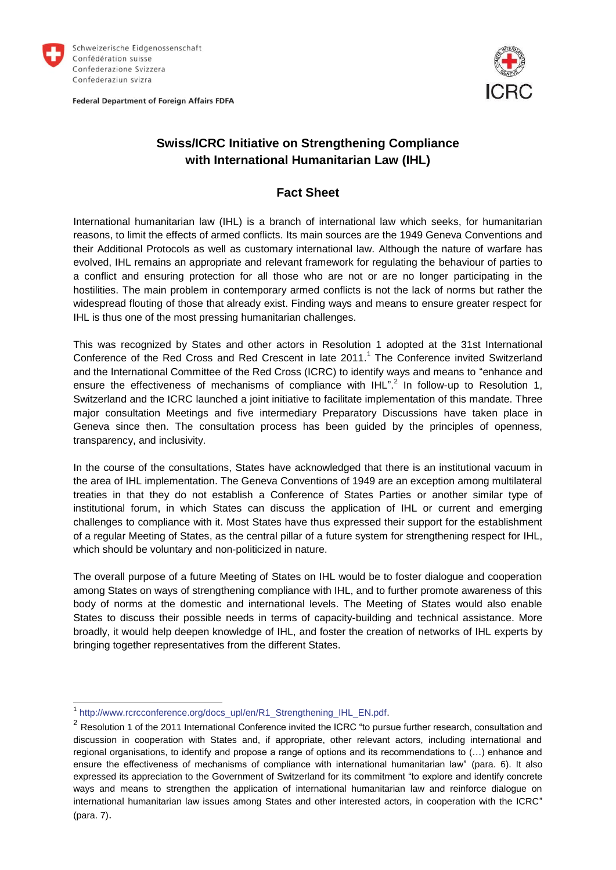

Federal Department of Foreign Affairs FDFA



## **Swiss/ICRC Initiative on Strengthening Compliance with International Humanitarian Law (IHL)**

## **Fact Sheet**

International humanitarian law (IHL) is a branch of international law which seeks, for humanitarian reasons, to limit the effects of armed conflicts. Its main sources are the 1949 Geneva Conventions and their Additional Protocols as well as customary international law. Although the nature of warfare has evolved, IHL remains an appropriate and relevant framework for regulating the behaviour of parties to a conflict and ensuring protection for all those who are not or are no longer participating in the hostilities. The main problem in contemporary armed conflicts is not the lack of norms but rather the widespread flouting of those that already exist. Finding ways and means to ensure greater respect for IHL is thus one of the most pressing humanitarian challenges.

This was recognized by States and other actors in Resolution 1 adopted at the 31st International Conference of the Red Cross and Red Crescent in late 2011.<sup>1</sup> The Conference invited Switzerland and the International Committee of the Red Cross (ICRC) to identify ways and means to "enhance and ensure the effectiveness of mechanisms of compliance with  $IHL$ ".<sup>2</sup> In follow-up to Resolution 1, Switzerland and the ICRC launched a joint initiative to facilitate implementation of this mandate. Three major consultation Meetings and five intermediary Preparatory Discussions have taken place in Geneva since then. The consultation process has been guided by the principles of openness, transparency, and inclusivity.

In the course of the consultations, States have acknowledged that there is an institutional vacuum in the area of IHL implementation. The Geneva Conventions of 1949 are an exception among multilateral treaties in that they do not establish a Conference of States Parties or another similar type of institutional forum, in which States can discuss the application of IHL or current and emerging challenges to compliance with it. Most States have thus expressed their support for the establishment of a regular Meeting of States, as the central pillar of a future system for strengthening respect for IHL, which should be voluntary and non-politicized in nature.

The overall purpose of a future Meeting of States on IHL would be to foster dialogue and cooperation among States on ways of strengthening compliance with IHL, and to further promote awareness of this body of norms at the domestic and international levels. The Meeting of States would also enable States to discuss their possible needs in terms of capacity-building and technical assistance. More broadly, it would help deepen knowledge of IHL, and foster the creation of networks of IHL experts by bringing together representatives from the different States.

 1 [http://www.rcrcconference.org/docs\\_upl/en/R1\\_Strengthening\\_IHL\\_EN.pdf.](http://www.rcrcconference.org/docs_upl/en/R1_Strengthening_IHL_EN.pdf)

 $2$  Resolution 1 of the 2011 International Conference invited the ICRC "to pursue further research, consultation and discussion in cooperation with States and, if appropriate, other relevant actors, including international and regional organisations, to identify and propose a range of options and its recommendations to (…) enhance and ensure the effectiveness of mechanisms of compliance with international humanitarian law" (para. 6). It also expressed its appreciation to the Government of Switzerland for its commitment "to explore and identify concrete ways and means to strengthen the application of international humanitarian law and reinforce dialogue on international humanitarian law issues among States and other interested actors, in cooperation with the ICRC" (para. 7).